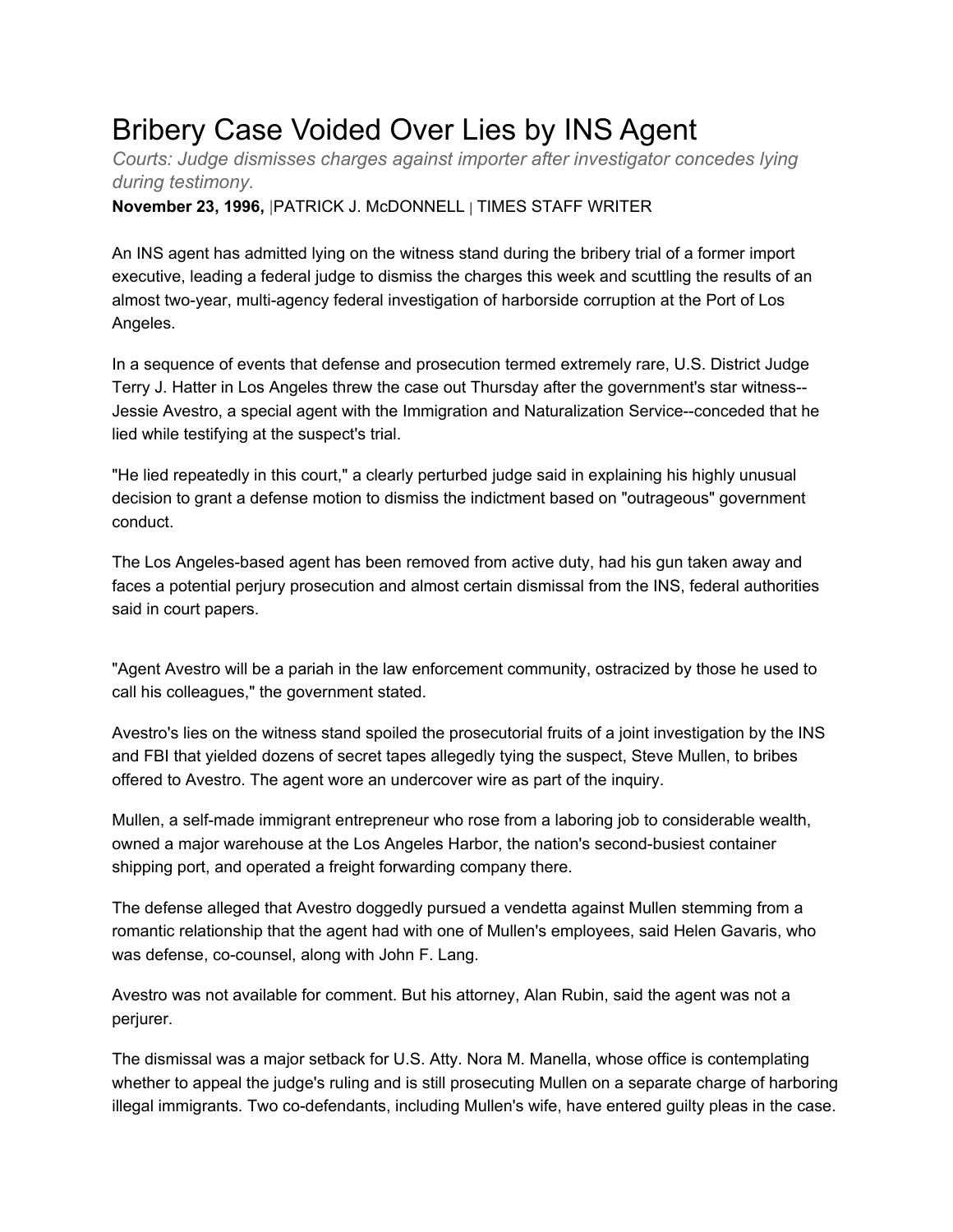## Bribery Case Voided Over Lies by INS Agent

*Courts: Judge dismisses charges against importer after investigator concedes lying during testimony.*

**November 23, 1996,** |PATRICK J. McDONNELL | TIMES STAFF WRITER

An INS agent has admitted lying on the witness stand during the bribery trial of a former import executive, leading a federal judge to dismiss the charges this week and scuttling the results of an almost two-year, multi-agency federal investigation of harborside corruption at the Port of Los Angeles.

In a sequence of events that defense and prosecution termed extremely rare, U.S. District Judge Terry J. Hatter in Los Angeles threw the case out Thursday after the government's star witness-- Jessie Avestro, a special agent with the Immigration and Naturalization Service--conceded that he lied while testifying at the suspect's trial.

"He lied repeatedly in this court," a clearly perturbed judge said in explaining his highly unusual decision to grant a defense motion to dismiss the indictment based on "outrageous" government conduct.

The Los Angeles-based agent has been removed from active duty, had his gun taken away and faces a potential perjury prosecution and almost certain dismissal from the INS, federal authorities said in court papers.

"Agent Avestro will be a pariah in the law enforcement community, ostracized by those he used to call his colleagues," the government stated.

Avestro's lies on the witness stand spoiled the prosecutorial fruits of a joint investigation by the INS and FBI that yielded dozens of secret tapes allegedly tying the suspect, Steve Mullen, to bribes offered to Avestro. The agent wore an undercover wire as part of the inquiry.

Mullen, a self-made immigrant entrepreneur who rose from a laboring job to considerable wealth, owned a major warehouse at the Los Angeles Harbor, the nation's second-busiest container shipping port, and operated a freight forwarding company there.

The defense alleged that Avestro doggedly pursued a vendetta against Mullen stemming from a romantic relationship that the agent had with one of Mullen's employees, said Helen Gavaris, who was defense, co-counsel, along with John F. Lang.

Avestro was not available for comment. But his attorney, Alan Rubin, said the agent was not a perjurer.

The dismissal was a major setback for U.S. Atty. Nora M. Manella, whose office is contemplating whether to appeal the judge's ruling and is still prosecuting Mullen on a separate charge of harboring illegal immigrants. Two co-defendants, including Mullen's wife, have entered guilty pleas in the case.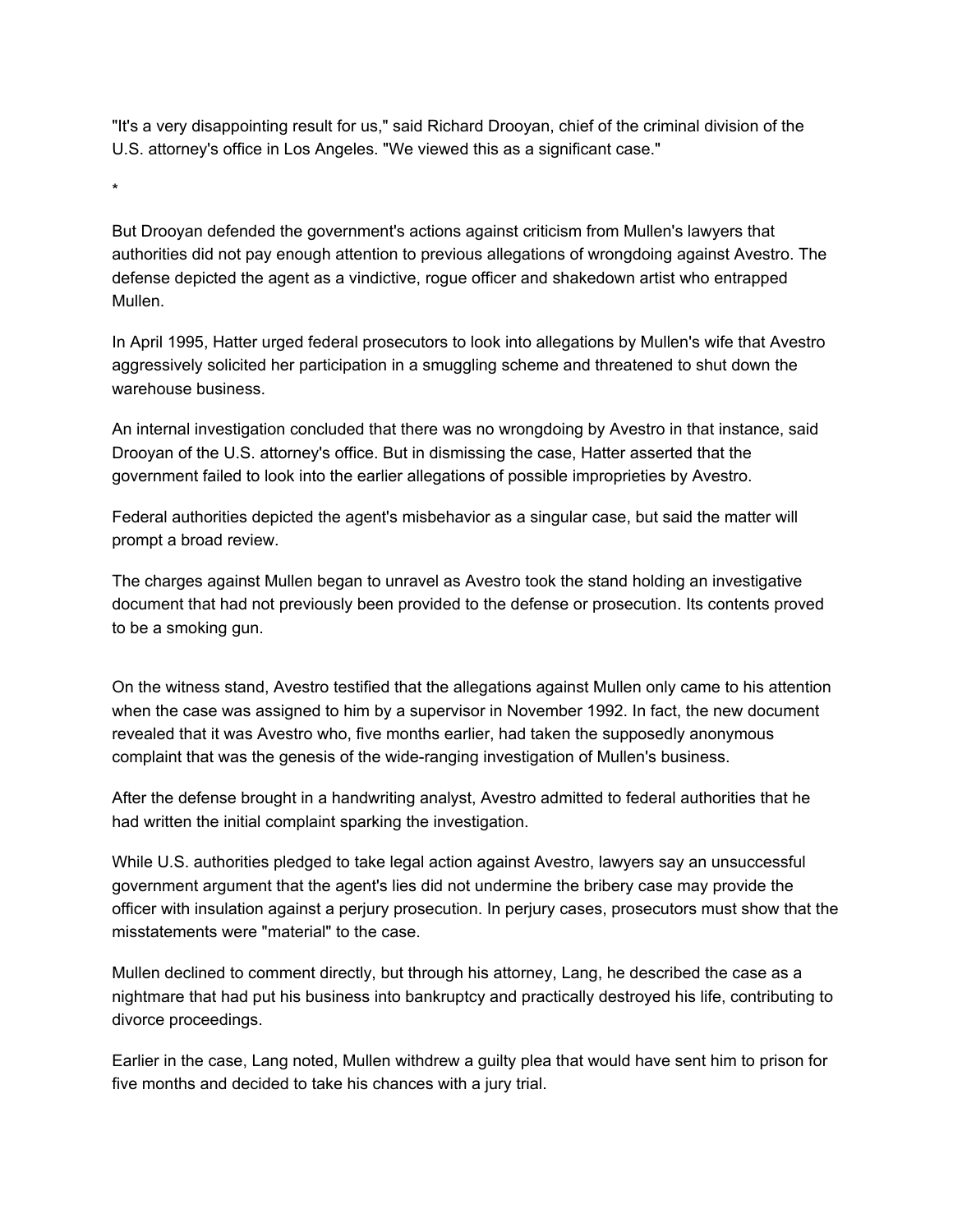"It's a very disappointing result for us," said Richard Drooyan, chief of the criminal division of the U.S. attorney's office in Los Angeles. "We viewed this as a significant case."

But Drooyan defended the government's actions against criticism from Mullen's lawyers that authorities did not pay enough attention to previous allegations of wrongdoing against Avestro. The defense depicted the agent as a vindictive, rogue officer and shakedown artist who entrapped Mullen.

In April 1995, Hatter urged federal prosecutors to look into allegations by Mullen's wife that Avestro aggressively solicited her participation in a smuggling scheme and threatened to shut down the warehouse business.

An internal investigation concluded that there was no wrongdoing by Avestro in that instance, said Drooyan of the U.S. attorney's office. But in dismissing the case, Hatter asserted that the government failed to look into the earlier allegations of possible improprieties by Avestro.

Federal authorities depicted the agent's misbehavior as a singular case, but said the matter will prompt a broad review.

The charges against Mullen began to unravel as Avestro took the stand holding an investigative document that had not previously been provided to the defense or prosecution. Its contents proved to be a smoking gun.

On the witness stand, Avestro testified that the allegations against Mullen only came to his attention when the case was assigned to him by a supervisor in November 1992. In fact, the new document revealed that it was Avestro who, five months earlier, had taken the supposedly anonymous complaint that was the genesis of the wide-ranging investigation of Mullen's business.

After the defense brought in a handwriting analyst, Avestro admitted to federal authorities that he had written the initial complaint sparking the investigation.

While U.S. authorities pledged to take legal action against Avestro, lawyers say an unsuccessful government argument that the agent's lies did not undermine the bribery case may provide the officer with insulation against a perjury prosecution. In perjury cases, prosecutors must show that the misstatements were "material" to the case.

Mullen declined to comment directly, but through his attorney, Lang, he described the case as a nightmare that had put his business into bankruptcy and practically destroyed his life, contributing to divorce proceedings.

Earlier in the case, Lang noted, Mullen withdrew a guilty plea that would have sent him to prison for five months and decided to take his chances with a jury trial.